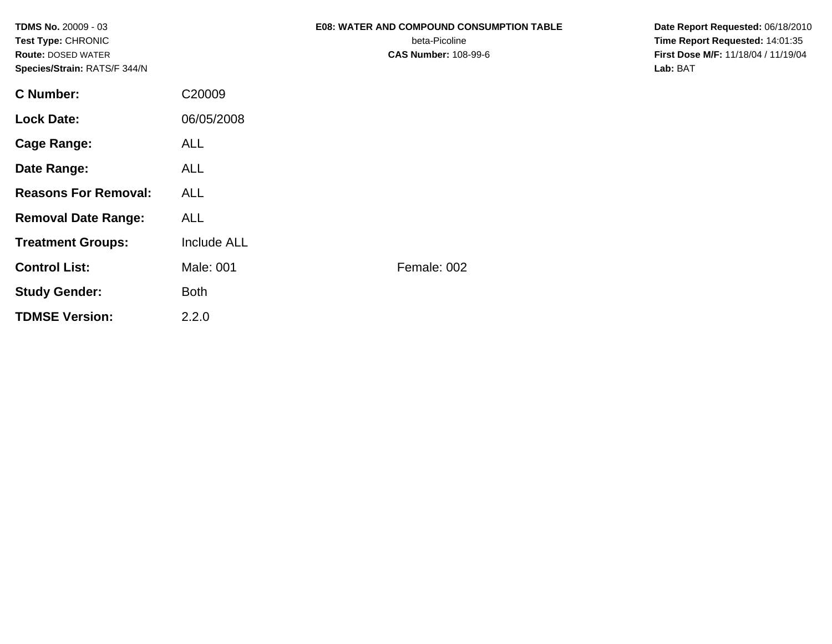| <b>TDMS No. 20009 - 03</b><br>Test Type: CHRONIC<br><b>Route: DOSED WATER</b><br>Species/Strain: RATS/F 344/N |                    | <b>E08: WATER AND COMPOUND CONSUMPTION TABLE</b><br>beta-Picoline<br><b>CAS Number: 108-99-6</b> | Date Report Requested: 06/18/2010<br>Time Report Requested: 14:01:35<br>First Dose M/F: 11/18/04 / 11/19/04<br>Lab: BAT |
|---------------------------------------------------------------------------------------------------------------|--------------------|--------------------------------------------------------------------------------------------------|-------------------------------------------------------------------------------------------------------------------------|
| <b>C</b> Number:                                                                                              | C20009             |                                                                                                  |                                                                                                                         |
| <b>Lock Date:</b>                                                                                             | 06/05/2008         |                                                                                                  |                                                                                                                         |
| <b>Cage Range:</b>                                                                                            | <b>ALL</b>         |                                                                                                  |                                                                                                                         |
| Date Range:                                                                                                   | <b>ALL</b>         |                                                                                                  |                                                                                                                         |
| <b>Reasons For Removal:</b>                                                                                   | <b>ALL</b>         |                                                                                                  |                                                                                                                         |
| <b>Removal Date Range:</b>                                                                                    | <b>ALL</b>         |                                                                                                  |                                                                                                                         |
| <b>Treatment Groups:</b>                                                                                      | <b>Include ALL</b> |                                                                                                  |                                                                                                                         |
| <b>Control List:</b>                                                                                          | Male: 001          | Female: 002                                                                                      |                                                                                                                         |
| <b>Study Gender:</b>                                                                                          | <b>Both</b>        |                                                                                                  |                                                                                                                         |
| <b>TDMSE Version:</b>                                                                                         | 2.2.0              |                                                                                                  |                                                                                                                         |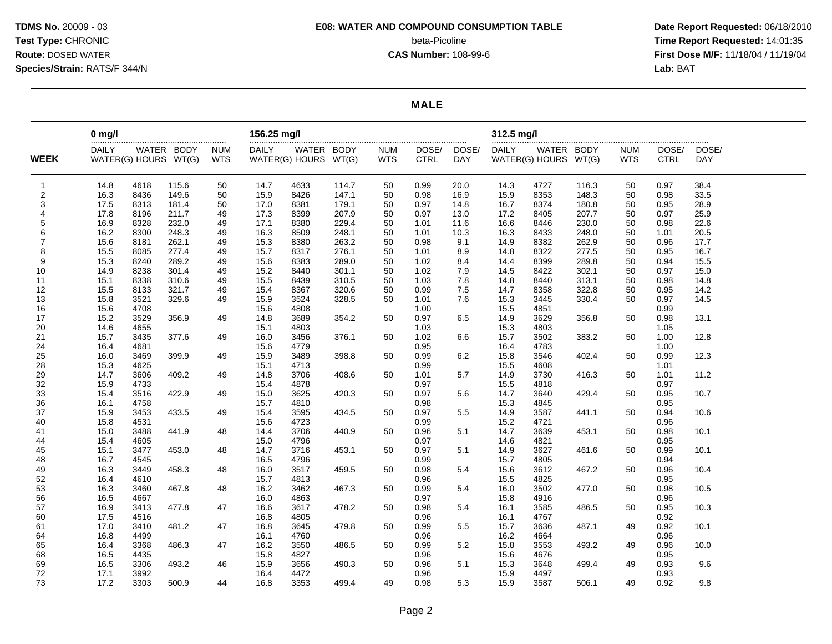#### **MALE**

|                | $0$ mg/l     |                      |            |            | 156.25 mg/l  |                      |       |            |             |            | 312.5 mg/l   |                      |       |            |             |            |
|----------------|--------------|----------------------|------------|------------|--------------|----------------------|-------|------------|-------------|------------|--------------|----------------------|-------|------------|-------------|------------|
|                | <b>DAILY</b> |                      | WATER BODY | <b>NUM</b> | <b>DAILY</b> | WATER BODY           |       | <b>NUM</b> | DOSE/       | DOSE/      | <b>DAILY</b> | WATER BODY           |       | <b>NUM</b> | DOSE/       | DOSE/      |
| <b>WEEK</b>    |              | WATER(G) HOURS WT(G) |            | <b>WTS</b> |              | WATER(G) HOURS WT(G) |       | <b>WTS</b> | <b>CTRL</b> | <b>DAY</b> |              | WATER(G) HOURS WT(G) |       | <b>WTS</b> | <b>CTRL</b> | <b>DAY</b> |
|                |              |                      |            |            |              |                      |       |            |             |            |              |                      |       |            |             |            |
| 1              | 14.8         | 4618                 | 115.6      | 50         | 14.7         | 4633                 | 114.7 | 50         | 0.99        | 20.0       | 14.3         | 4727                 | 116.3 | 50         | 0.97        | 38.4       |
| $\overline{c}$ | 16.3         | 8436                 | 149.6      | 50         | 15.9         | 8426                 | 147.1 | 50         | 0.98        | 16.9       | 15.9         | 8353                 | 148.3 | 50         | 0.98        | 33.5       |
| 3              | 17.5         | 8313                 | 181.4      | 50         | 17.0         | 8381                 | 179.1 | 50         | 0.97        | 14.8       | 16.7         | 8374                 | 180.8 | 50         | 0.95        | 28.9       |
| 4              | 17.8         | 8196                 | 211.7      | 49         | 17.3         | 8399                 | 207.9 | 50         | 0.97        | 13.0       | 17.2         | 8405                 | 207.7 | 50         | 0.97        | 25.9       |
| 5              | 16.9         | 8328                 | 232.0      | 49         | 17.1         | 8380                 | 229.4 | 50         | 1.01        | 11.6       | 16.6         | 8446                 | 230.0 | 50         | 0.98        | 22.6       |
| 6              | 16.2         | 8300                 | 248.3      | 49         | 16.3         | 8509                 | 248.1 | 50         | 1.01        | 10.3       | 16.3         | 8433                 | 248.0 | 50         | 1.01        | 20.5       |
| $\overline{7}$ | 15.6         | 8181                 | 262.1      | 49         | 15.3         | 8380                 | 263.2 | 50         | 0.98        | 9.1        | 14.9         | 8382                 | 262.9 | 50         | 0.96        | 17.7       |
| 8              | 15.5         | 8085                 | 277.4      | 49         | 15.7         | 8317                 | 276.1 | 50         | 1.01        | 8.9        | 14.8         | 8322                 | 277.5 | 50         | 0.95        | 16.7       |
| 9              | 15.3         | 8240                 | 289.2      | 49         | 15.6         | 8383                 | 289.0 | 50         | 1.02        | 8.4        | 14.4         | 8399                 | 289.8 | 50         | 0.94        | 15.5       |
| 10             | 14.9         | 8238                 | 301.4      | 49         | 15.2         | 8440                 | 301.1 | 50         | 1.02        | 7.9        | 14.5         | 8422                 | 302.1 | 50         | 0.97        | 15.0       |
| 11             | 15.1         | 8338                 | 310.6      | 49         | 15.5         | 8439                 | 310.5 | 50         | 1.03        | 7.8        | 14.8         | 8440                 | 313.1 | 50         | 0.98        | 14.8       |
| 12             | 15.5         | 8133                 | 321.7      | 49         | 15.4         | 8367                 | 320.6 | 50         | 0.99        | 7.5        | 14.7         | 8358                 | 322.8 | 50         | 0.95        | 14.2       |
| 13             | 15.8         | 3521                 | 329.6      | 49         | 15.9         | 3524                 | 328.5 | 50         | 1.01        | 7.6        | 15.3         | 3445                 | 330.4 | 50         | 0.97        | 14.5       |
| 16             | 15.6         | 4708                 |            |            | 15.6         | 4808                 |       |            | 1.00        |            | 15.5         | 4851                 |       |            | 0.99        |            |
| 17             | 15.2         | 3529                 | 356.9      | 49         | 14.8         | 3689                 | 354.2 | 50         | 0.97        | 6.5        | 14.9         | 3629                 | 356.8 | 50         | 0.98        | 13.1       |
| 20             | 14.6         | 4655                 |            |            | 15.1         | 4803                 |       |            | 1.03        |            | 15.3         | 4803                 |       |            | 1.05        |            |
| 21             | 15.7         | 3435                 | 377.6      | 49         | 16.0         | 3456                 | 376.1 | 50         | 1.02        | 6.6        | 15.7         | 3502                 | 383.2 | 50         | 1.00        | 12.8       |
| 24             | 16.4         | 4681                 |            |            | 15.6         | 4779                 |       |            | 0.95        |            | 16.4         | 4783                 |       |            | 1.00        |            |
| 25             | 16.0         | 3469                 | 399.9      | 49         | 15.9         | 3489                 | 398.8 | 50         | 0.99        | 6.2        | 15.8         | 3546                 | 402.4 | 50         | 0.99        | 12.3       |
| 28             | 15.3         | 4625                 |            |            | 15.1         | 4713                 |       |            | 0.99        |            | 15.5         | 4608                 |       |            | 1.01        |            |
| 29             | 14.7         | 3606                 | 409.2      | 49         | 14.8         | 3706                 | 408.6 | 50         | 1.01        | 5.7        | 14.9         | 3730                 | 416.3 | 50         | 1.01        | 11.2       |
| 32             | 15.9         | 4733                 |            |            | 15.4         | 4878                 |       |            | 0.97        |            | 15.5         | 4818                 |       |            | 0.97        |            |
| 33             | 15.4         | 3516                 | 422.9      | 49         | 15.0         | 3625                 | 420.3 | 50         | 0.97        | 5.6        | 14.7         | 3640                 | 429.4 | 50         | 0.95        | 10.7       |
| 36             | 16.1         | 4758                 |            |            | 15.7         | 4810                 |       |            | 0.98        |            | 15.3         | 4845                 |       |            | 0.95        |            |
| 37             | 15.9         | 3453                 | 433.5      | 49         | 15.4         | 3595                 | 434.5 | 50         | 0.97        | 5.5        | 14.9         | 3587                 | 441.1 | 50         | 0.94        | 10.6       |
| 40             | 15.8         | 4531                 |            |            | 15.6         | 4723                 |       |            | 0.99        |            | 15.2         | 4721                 |       |            | 0.96        |            |
| 41             | 15.0         | 3488                 | 441.9      | 48         | 14.4         | 3706                 | 440.9 | 50         | 0.96        | 5.1        | 14.7         | 3639                 | 453.1 | 50         | 0.98        | 10.1       |
| 44             | 15.4         | 4605                 |            |            | 15.0         | 4796                 |       |            | 0.97        |            | 14.6         | 4821                 |       |            | 0.95        |            |
| 45             | 15.1         | 3477                 | 453.0      | 48         | 14.7         | 3716                 | 453.1 | 50         | 0.97        | 5.1        | 14.9         | 3627                 | 461.6 | 50         | 0.99        | 10.1       |
| 48             | 16.7         | 4545                 |            |            | 16.5         | 4796                 |       |            | 0.99        |            | 15.7         | 4805                 |       |            | 0.94        |            |
| 49             | 16.3         | 3449                 | 458.3      | 48         | 16.0         | 3517                 | 459.5 | 50         | 0.98        | 5.4        | 15.6         | 3612                 | 467.2 | 50         | 0.96        | 10.4       |
| 52             | 16.4         | 4610                 |            |            | 15.7         | 4813                 |       |            | 0.96        |            | 15.5         | 4825                 |       |            | 0.95        |            |
| 53             | 16.3         | 3460                 | 467.8      | 48         | 16.2         | 3462                 | 467.3 | 50         | 0.99        | 5.4        | 16.0         | 3502                 | 477.0 | 50         | 0.98        | 10.5       |
| 56             | 16.5         | 4667                 |            |            | 16.0         | 4863                 |       |            | 0.97        |            | 15.8         | 4916                 |       |            | 0.96        |            |
| 57             | 16.9         | 3413                 | 477.8      | 47         | 16.6         | 3617                 | 478.2 | 50         | 0.98        | 5.4        | 16.1         | 3585                 | 486.5 | 50         | 0.95        | 10.3       |
| 60             | 17.5         | 4516                 |            |            | 16.8         | 4805                 |       |            | 0.96        |            | 16.1         | 4767                 |       |            | 0.92        |            |
| 61             | 17.0         | 3410                 | 481.2      | 47         | 16.8         | 3645                 | 479.8 | 50         | 0.99        | 5.5        | 15.7         | 3636                 | 487.1 | 49         | 0.92        | 10.1       |
| 64             | 16.8         | 4499                 |            |            | 16.1         | 4760                 |       |            | 0.96        |            | 16.2         | 4664                 |       |            | 0.96        |            |
| 65             | 16.4         | 3368                 | 486.3      | 47         | 16.2         | 3550                 | 486.5 | 50         | 0.99        | 5.2        | 15.8         | 3553                 | 493.2 | 49         | 0.96        | 10.0       |
| 68             | 16.5         | 4435                 |            |            | 15.8         | 4827                 |       |            | 0.96        |            | 15.6         | 4676                 |       |            | 0.95        |            |
| 69             | 16.5         | 3306                 | 493.2      | 46         | 15.9         | 3656                 | 490.3 | 50         | 0.96        | 5.1        | 15.3         | 3648                 | 499.4 | 49         | 0.93        | 9.6        |
| 72             | 17.1         | 3992                 |            |            | 16.4         | 4472                 |       |            | 0.96        |            | 15.9         | 4497                 |       |            | 0.93        |            |
| 73             | 17.2         | 3303                 | 500.9      | 44         | 16.8         | 3353                 | 499.4 | 49         | 0.98        | 5.3        | 15.9         | 3587                 | 506.1 | 49         | 0.92        | 9.8        |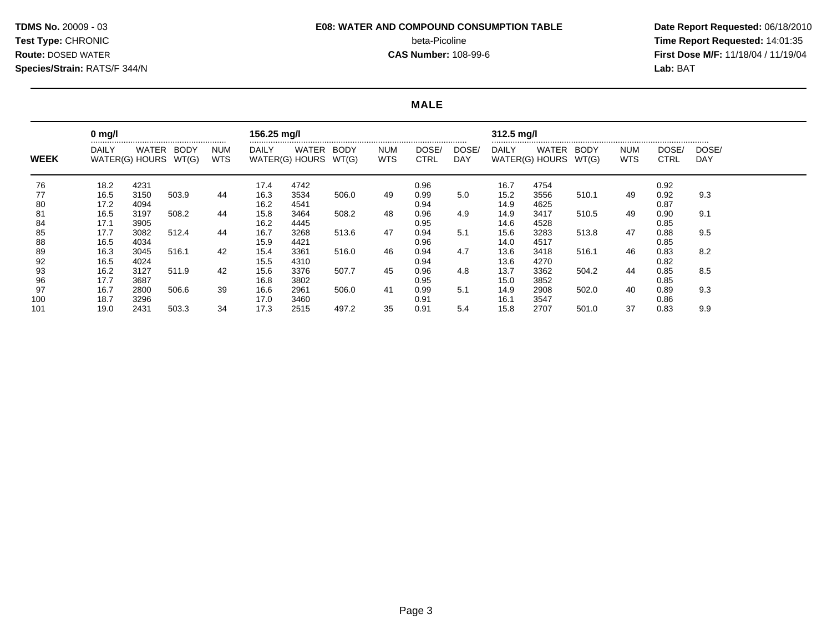#### **MALE**

|             | $0 \text{ mg/l}$ |                         |               |                          | 156.25 mg/l  |                         |               |                   |                      |                     | 312.5 mg/l                     |              |                      |                          |               |                     |
|-------------|------------------|-------------------------|---------------|--------------------------|--------------|-------------------------|---------------|-------------------|----------------------|---------------------|--------------------------------|--------------|----------------------|--------------------------|---------------|---------------------|
| <b>WEEK</b> | DAILY            | WATER<br>WATER(G) HOURS | BODY<br>WT(G) | <b>NUM</b><br><b>WTS</b> | <b>DAILY</b> | WATER<br>WATER(G) HOURS | BODY<br>WT(G) | NUM<br><b>WTS</b> | DOSE/<br><b>CTRL</b> | DOSE/<br><b>DAY</b> | <b>DAILY</b><br>WATER(G) HOURS | WATER        | <b>BODY</b><br>WT(G) | <b>NUM</b><br><b>WTS</b> | DOSE/<br>CTRL | DOSE/<br><b>DAY</b> |
| 76          | 18.2             | 4231                    |               |                          | 17.4         | 4742                    |               |                   | 0.96                 |                     | 16.7                           | 4754         |                      |                          | 0.92          |                     |
| 77<br>80    | 16.5<br>17.2     | 3150<br>4094            | 503.9         | 44                       | 16.3<br>16.2 | 3534<br>4541            | 506.0         | 49                | 0.99<br>0.94         | 5.0                 | 15.2<br>14.9                   | 3556<br>4625 | 510.1                | 49                       | 0.92<br>0.87  | 9.3                 |
| 81<br>84    | 16.5<br>17.1     | 3197<br>3905            | 508.2         | 44                       | 15.8<br>16.2 | 3464<br>4445            | 508.2         | 48                | 0.96<br>0.95         | 4.9                 | 14.9<br>14.6                   | 3417<br>4528 | 510.5                | 49                       | 0.90<br>0.85  | 9.1                 |
| 85<br>88    | 17.7<br>16.5     | 3082<br>4034            | 512.4         | 44                       | 16.7<br>15.9 | 3268<br>4421            | 513.6         | 47                | 0.94<br>0.96         | 5.1                 | 15.6<br>14.0                   | 3283<br>4517 | 513.8                | 47                       | 0.88<br>0.85  | 9.5                 |
| 89<br>92    | 16.3<br>16.5     | 3045<br>4024            | 516.1         | 42                       | 15.4<br>15.5 | 3361<br>4310            | 516.0         | 46                | 0.94<br>0.94         | 4.7                 | 13.6<br>13.6                   | 3418<br>4270 | 516.1                | 46                       | 0.83<br>0.82  | 8.2                 |
| 93<br>96    | 16.2<br>17.7     | 3127<br>3687            | 511.9         | 42                       | 15.6<br>16.8 | 3376<br>3802            | 507.7         | 45                | 0.96<br>0.95         | 4.8                 | 13.7<br>15.0                   | 3362<br>3852 | 504.2                | 44                       | 0.85<br>0.85  | 8.5                 |
| 97<br>100   | 16.7<br>18.7     | 2800<br>3296            | 506.6         | 39                       | 16.6<br>17.0 | 2961<br>3460            | 506.0         | 41                | 0.99<br>0.91         | 5.1                 | 14.9<br>16.1                   | 2908<br>3547 | 502.0                | 40                       | 0.89<br>0.86  | 9.3                 |
| 101         | 19.0             | 2431                    | 503.3         | 34                       | 17.3         | 2515                    | 497.2         | 35                | 0.91                 | 5.4                 | 15.8                           | 2707         | 501.0                | 37                       | 0.83          | 9.9                 |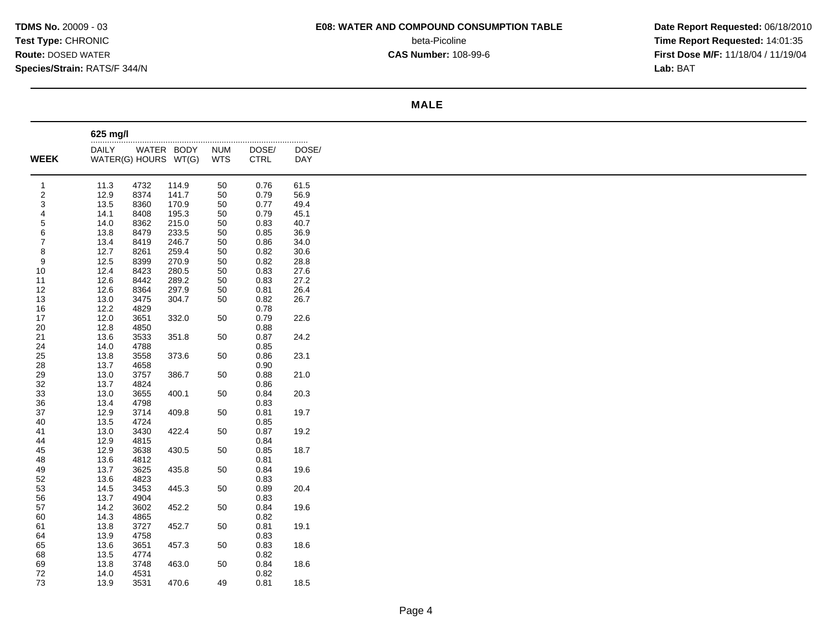# **MALE**

|                         | 625 mg/l             |              |       |            |              |            |
|-------------------------|----------------------|--------------|-------|------------|--------------|------------|
|                         | <br><b>DAILY</b>     | WATER BODY   |       | <b>NUM</b> | DOSE/        | .<br>DOSE/ |
| <b>WEEK</b>             | WATER(G) HOURS WT(G) |              |       | <b>WTS</b> | <b>CTRL</b>  | DAY        |
|                         |                      |              |       |            |              |            |
| $\mathbf{1}$            | 11.3                 | 4732         | 114.9 | 50         | 0.76         | 61.5       |
| $\overline{\mathbf{c}}$ | 12.9                 | 8374         | 141.7 | 50         | 0.79         | 56.9       |
| 3                       | 13.5                 | 8360         | 170.9 | 50         | 0.77         | 49.4       |
| 4                       | 14.1                 | 8408         | 195.3 | 50         | 0.79         | 45.1       |
| 5                       | 14.0                 | 8362         | 215.0 | 50         | 0.83         | 40.7       |
| 6                       | 13.8                 | 8479         | 233.5 | 50         | 0.85         | 36.9       |
| 7                       | 13.4                 | 8419         | 246.7 | 50         | 0.86         | 34.0       |
| 8                       | 12.7                 | 8261         | 259.4 | 50         | 0.82         | 30.6       |
| 9                       | 12.5                 | 8399         | 270.9 | 50         | 0.82         | 28.8       |
| 10                      | 12.4                 | 8423         | 280.5 | 50         | 0.83         | 27.6       |
| 11                      | 12.6                 | 8442         | 289.2 | 50         | 0.83         | 27.2       |
| 12                      | 12.6                 | 8364         | 297.9 | 50         | 0.81         | 26.4       |
| 13                      | 13.0                 | 3475         | 304.7 | 50         | 0.82         | 26.7       |
| 16                      | 12.2                 | 4829         |       |            | 0.78<br>0.79 |            |
| 17<br>20                | 12.0<br>12.8         | 3651<br>4850 | 332.0 | 50         | 0.88         | 22.6       |
| 21                      | 13.6                 | 3533         | 351.8 | 50         | 0.87         | 24.2       |
| 24                      | 14.0                 | 4788         |       |            | 0.85         |            |
| 25                      | 13.8                 | 3558         | 373.6 | 50         | 0.86         | 23.1       |
| 28                      | 13.7                 | 4658         |       |            | 0.90         |            |
| 29                      | 13.0                 | 3757         | 386.7 | 50         | 0.88         | 21.0       |
| 32                      | 13.7                 | 4824         |       |            | 0.86         |            |
| 33                      | 13.0                 | 3655         | 400.1 | 50         | 0.84         | 20.3       |
| 36                      | 13.4                 | 4798         |       |            | 0.83         |            |
| 37                      | 12.9                 | 3714         | 409.8 | 50         | 0.81         | 19.7       |
| 40                      | 13.5                 | 4724         |       |            | 0.85         |            |
| 41                      | 13.0                 | 3430         | 422.4 | 50         | 0.87         | 19.2       |
| 44                      | 12.9                 | 4815         |       |            | 0.84         |            |
| 45                      | 12.9                 | 3638         | 430.5 | 50         | 0.85         | 18.7       |
| 48                      | 13.6                 | 4812         |       |            | 0.81         |            |
| 49                      | 13.7                 | 3625         | 435.8 | 50         | 0.84         | 19.6       |
| 52                      | 13.6                 | 4823         |       |            | 0.83         |            |
| 53                      | 14.5                 | 3453         | 445.3 | 50         | 0.89         | 20.4       |
| 56                      | 13.7                 | 4904         |       |            | 0.83         |            |
| 57                      | 14.2                 | 3602         | 452.2 | 50         | 0.84         | 19.6       |
| 60                      | 14.3                 | 4865         |       |            | 0.82         |            |
| 61                      | 13.8                 | 3727         | 452.7 | 50         | 0.81         | 19.1       |
| 64                      | 13.9                 | 4758         |       |            | 0.83         |            |
| 65                      | 13.6                 | 3651         | 457.3 | 50         | 0.83         | 18.6       |
| 68                      | 13.5                 | 4774         |       |            | 0.82         |            |
| 69                      | 13.8                 | 3748         | 463.0 | 50         | 0.84         | 18.6       |
| 72                      | 14.0                 | 4531         |       |            | 0.82         |            |
| 73                      | 13.9                 | 3531         | 470.6 | 49         | 0.81         | 18.5       |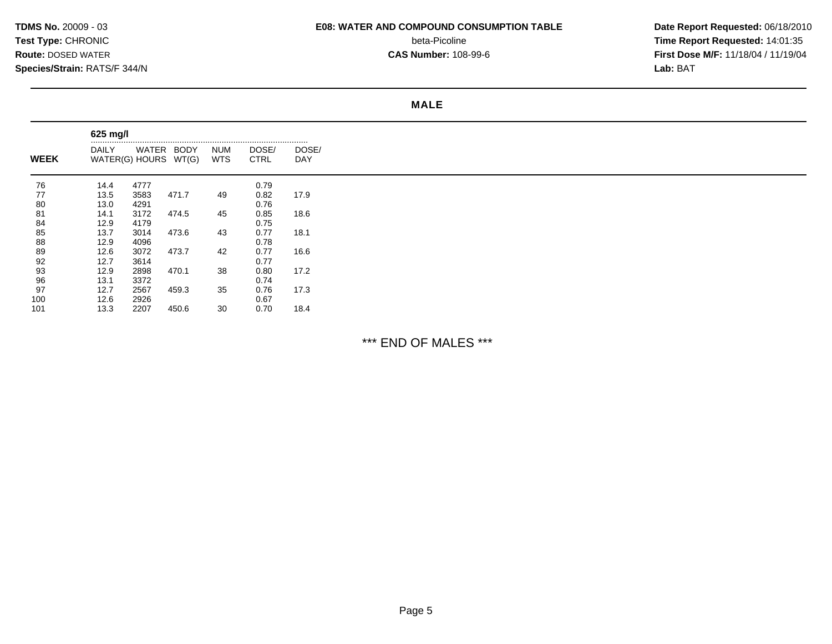# **MALE**

|             | 625 mg/l     |                                    |       |                   |                      |              |
|-------------|--------------|------------------------------------|-------|-------------------|----------------------|--------------|
| <b>WEEK</b> | <b>DAILY</b> | WATER BODY<br>WATER(G) HOURS WT(G) |       | NUM<br><b>WTS</b> | DOSE/<br><b>CTRL</b> | DOSE/<br>DAY |
| 76          | 14.4         | 4777                               |       |                   | 0.79                 |              |
| 77          | 13.5         | 3583                               | 471.7 | 49                | 0.82                 | 17.9         |
| 80          | 13.0         | 4291                               |       |                   | 0.76                 |              |
| 81          | 14.1         | 3172                               | 474.5 | 45                | 0.85                 | 18.6         |
| 84          | 12.9         | 4179                               |       |                   | 0.75                 |              |
| 85          | 13.7         | 3014                               | 473.6 | 43                | 0.77                 | 18.1         |
| 88          | 12.9         | 4096                               |       |                   | 0.78                 |              |
| 89          | 12.6         | 3072                               | 473.7 | 42                | 0.77                 | 16.6         |
| 92          | 12.7         | 3614                               |       |                   | 0.77                 |              |
| 93          | 12.9         | 2898                               | 470.1 | 38                | 0.80                 | 17.2         |
| 96          | 13.1         | 3372                               |       |                   | 0.74                 |              |
| 97          | 12.7         | 2567                               | 459.3 | 35                | 0.76                 | 17.3         |
| 100         | 12.6         | 2926                               |       |                   | 0.67                 |              |
| 101         | 13.3         | 2207                               | 450.6 | 30                | 0.70                 | 18.4         |

\*\*\* END OF MALES \*\*\*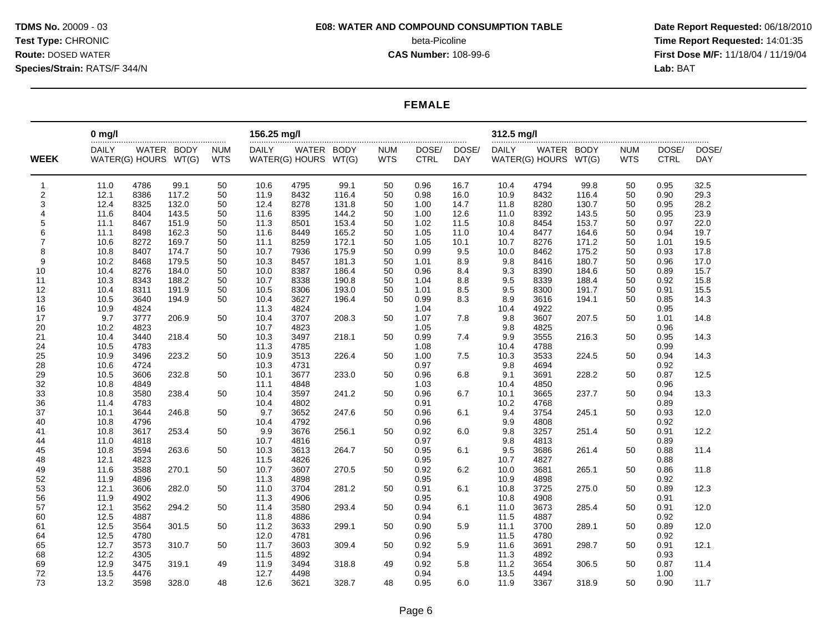#### **FEMALE**

|                | $0 \text{ mg/l}$ |                      |       |            | 156.25 mg/l  |                      |       |            |              |            | 312.5 mg/l   |                      |       |            |              |            |
|----------------|------------------|----------------------|-------|------------|--------------|----------------------|-------|------------|--------------|------------|--------------|----------------------|-------|------------|--------------|------------|
|                | <b>DAILY</b>     | WATER BODY           |       | <b>NUM</b> | <b>DAILY</b> | WATER BODY           |       | <b>NUM</b> | DOSE/        | DOSE/      | <b>DAILY</b> | WATER BODY           |       | <b>NUM</b> | DOSE/        | DOSE/      |
| <b>WEEK</b>    |                  | WATER(G) HOURS WT(G) |       | <b>WTS</b> |              | WATER(G) HOURS WT(G) |       | <b>WTS</b> | <b>CTRL</b>  | <b>DAY</b> |              | WATER(G) HOURS WT(G) |       | <b>WTS</b> | <b>CTRL</b>  | <b>DAY</b> |
| $\mathbf{1}$   | 11.0             | 4786                 | 99.1  | 50         | 10.6         | 4795                 | 99.1  | 50         | 0.96         | 16.7       | 10.4         | 4794                 | 99.8  | 50         | 0.95         | 32.5       |
| 2              | 12.1             | 8386                 | 117.2 | 50         | 11.9         | 8432                 | 116.4 | 50         | 0.98         | 16.0       | 10.9         | 8432                 | 116.4 | 50         | 0.90         | 29.3       |
| 3              | 12.4             | 8325                 | 132.0 | 50         | 12.4         | 8278                 | 131.8 | 50         | 1.00         | 14.7       | 11.8         | 8280                 | 130.7 | 50         | 0.95         | 28.2       |
| $\overline{4}$ | 11.6             | 8404                 | 143.5 | 50         | 11.6         | 8395                 | 144.2 | 50         | 1.00         | 12.6       | 11.0         | 8392                 | 143.5 | 50         | 0.95         | 23.9       |
| 5              | 11.1             | 8467                 | 151.9 | 50         | 11.3         | 8501                 | 153.4 | 50         | 1.02         | 11.5       | 10.8         | 8454                 | 153.7 | 50         | 0.97         | 22.0       |
| 6              | 11.1             | 8498                 | 162.3 | 50         | 11.6         | 8449                 | 165.2 | 50         | 1.05         | 11.0       | 10.4         | 8477                 | 164.6 | 50         | 0.94         | 19.7       |
| $\overline{7}$ | 10.6             | 8272                 | 169.7 | 50         | 11.1         | 8259                 | 172.1 | 50         | 1.05         | 10.1       | 10.7         | 8276                 | 171.2 | 50         | 1.01         | 19.5       |
| 8              | 10.8             | 8407                 | 174.7 | 50         | 10.7         | 7936                 | 175.9 | 50         | 0.99         | 9.5        | 10.0         | 8462                 | 175.2 | 50         | 0.93         | 17.8       |
| 9              | 10.2             | 8468                 | 179.5 | 50         | 10.3         | 8457                 | 181.3 | 50         | 1.01         | 8.9        | 9.8          | 8416                 | 180.7 | 50         | 0.96         | 17.0       |
| 10             | 10.4             | 8276                 | 184.0 | 50         | 10.0         | 8387                 | 186.4 | 50         | 0.96         | 8.4        | 9.3          | 8390                 | 184.6 | 50         | 0.89         | 15.7       |
| 11             | 10.3             | 8343                 | 188.2 | 50         | 10.7         | 8338                 | 190.8 | 50         | 1.04         | 8.8        | 9.5          | 8339                 | 188.4 | 50         | 0.92         | 15.8       |
| 12             | 10.4             | 8311                 | 191.9 | 50         | 10.5         | 8306                 | 193.0 | 50         | 1.01         | 8.5        | 9.5          | 8300                 | 191.7 | 50         | 0.91         | 15.5       |
| 13             | 10.5             | 3640                 | 194.9 | 50         | 10.4         | 3627                 | 196.4 | 50         | 0.99         | 8.3        | 8.9          | 3616                 | 194.1 | 50         | 0.85         | 14.3       |
| 16             | 10.9             | 4824                 |       |            | 11.3         | 4824                 |       |            | 1.04         |            | 10.4         | 4922                 |       |            | 0.95         |            |
| 17             | 9.7              | 3777                 | 206.9 | 50         | 10.4         | 3707                 | 208.3 | 50         | 1.07         | 7.8        | 9.8          | 3607                 | 207.5 | 50         | 1.01         | 14.8       |
| 20             | 10.2             | 4823                 |       |            | 10.7         | 4823                 |       |            | 1.05         |            | 9.8          | 4825                 |       |            | 0.96         |            |
| 21             | 10.4             | 3440                 | 218.4 | 50         | 10.3         | 3497                 | 218.1 | 50         | 0.99         | 7.4        | 9.9          | 3555                 | 216.3 | 50         | 0.95         | 14.3       |
| 24             | 10.5             | 4783                 |       |            | 11.3         | 4785                 |       |            | 1.08         |            | 10.4         | 4788                 |       |            | 0.99         |            |
| 25             | 10.9             | 3496                 | 223.2 | 50         | 10.9         | 3513                 | 226.4 | 50         | 1.00         | 7.5        | 10.3         | 3533                 | 224.5 | 50         | 0.94         | 14.3       |
| 28             | 10.6             | 4724                 |       |            | 10.3         | 4731                 |       |            | 0.97         |            | 9.8          | 4694                 |       |            | 0.92         |            |
| 29             | 10.5             | 3606                 | 232.8 | 50         | 10.1         | 3677                 | 233.0 | 50         | 0.96         | 6.8        | 9.1          | 3691                 | 228.2 | 50         | 0.87         | 12.5       |
| 32             | 10.8             | 4849                 |       |            | 11.1         | 4848                 |       |            | 1.03         |            | 10.4         | 4850                 |       |            | 0.96         |            |
| 33             | 10.8             | 3580                 | 238.4 | 50         | 10.4         | 3597                 | 241.2 | 50         | 0.96         | 6.7        | 10.1         | 3665                 | 237.7 | 50         | 0.94         | 13.3       |
| 36             | 11.4             | 4783                 |       |            | 10.4         | 4802                 |       |            | 0.91         |            | 10.2         | 4768                 |       |            | 0.89         |            |
| 37             | 10.1             | 3644                 | 246.8 | 50         | 9.7          | 3652                 | 247.6 | 50         | 0.96         | 6.1        | 9.4          | 3754                 | 245.1 | 50         | 0.93         | 12.0       |
| 40             | 10.8             | 4796                 |       |            | 10.4         | 4792                 |       |            | 0.96         |            | 9.9          | 4808                 |       |            | 0.92         |            |
| 41             | 10.8             | 3617                 | 253.4 | 50         | 9.9          | 3676                 | 256.1 | 50         | 0.92         | 6.0        | 9.8          | 3257                 | 251.4 | 50         | 0.91         | 12.2       |
| 44             | 11.0             | 4818                 |       |            | 10.7         | 4816                 |       |            | 0.97         |            | 9.8          | 4813                 |       |            | 0.89         |            |
| 45             | 10.8             | 3594                 | 263.6 | 50         | 10.3         | 3613                 | 264.7 | 50         | 0.95         | 6.1        | 9.5          | 3686                 | 261.4 | 50         | 0.88         | 11.4       |
| 48             | 12.1             | 4823                 |       |            | 11.5         | 4826                 |       |            | 0.95         |            | 10.7         | 4827                 |       |            | 0.88         |            |
| 49             | 11.6             | 3588                 | 270.1 | 50         | 10.7         | 3607                 | 270.5 | 50         | 0.92         | 6.2        | 10.0         | 3681                 | 265.1 | 50         | 0.86         | 11.8       |
| 52             | 11.9             | 4896                 |       |            | 11.3         | 4898                 |       |            | 0.95         |            | 10.9         | 4898                 |       |            | 0.92         |            |
| 53             | 12.1             | 3606                 | 282.0 | 50         | 11.0         | 3704                 | 281.2 | 50         | 0.91         | 6.1        | 10.8         | 3725                 | 275.0 | 50         | 0.89         | 12.3       |
| 56             | 11.9             | 4902                 |       |            | 11.3         | 4906                 |       |            | 0.95         |            | 10.8         | 4908                 |       |            | 0.91         |            |
| 57             | 12.1             | 3562                 | 294.2 | 50         | 11.4         | 3580                 | 293.4 | 50         | 0.94         | 6.1        | 11.0         | 3673                 | 285.4 | 50         | 0.91         | 12.0       |
| 60             | 12.5             | 4887                 |       |            | 11.8         | 4886                 |       |            | 0.94         |            | 11.5         | 4887                 |       |            | 0.92         |            |
| 61             | 12.5             | 3564                 | 301.5 | 50         | 11.2         | 3633                 | 299.1 | 50         | 0.90         | 5.9        | 11.1         | 3700                 | 289.1 | 50         | 0.89         | 12.0       |
| 64             | 12.5             | 4780                 |       |            | 12.0         | 4781                 |       |            | 0.96         |            | 11.5         | 4780                 |       |            | 0.92         |            |
| 65             | 12.7             | 3573<br>4305         | 310.7 | 50         | 11.7         | 3603                 | 309.4 | 50         | 0.92         | 5.9        | 11.6         | 3691<br>4892         | 298.7 | 50         | 0.91         | 12.1       |
| 68<br>69       | 12.2<br>12.9     | 3475                 | 319.1 | 49         | 11.5<br>11.9 | 4892<br>3494         | 318.8 | 49         | 0.94<br>0.92 | 5.8        | 11.3<br>11.2 | 3654                 | 306.5 | 50         | 0.93<br>0.87 | 11.4       |
| 72             | 13.5             | 4476                 |       |            | 12.7         | 4498                 |       |            | 0.94         |            | 13.5         | 4494                 |       |            | 1.00         |            |
| 73             |                  | 3598                 | 328.0 | 48         | 12.6         | 3621                 | 328.7 | 48         | 0.95         | 6.0        | 11.9         | 3367                 | 318.9 | 50         | 0.90         | 11.7       |
|                | 13.2             |                      |       |            |              |                      |       |            |              |            |              |                      |       |            |              |            |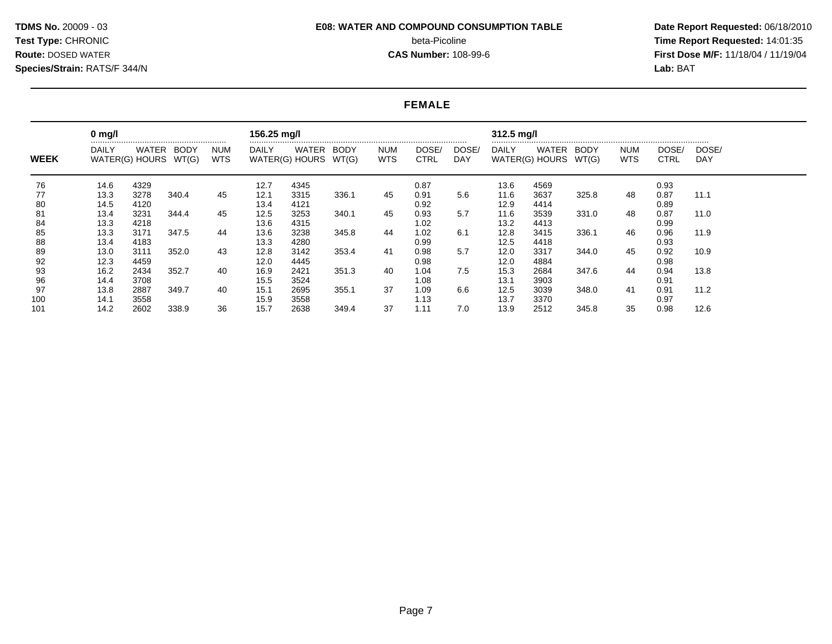### **FEMALE**

|             | $0 \text{ mg/l}$ |                         |               |             | 156.25 mg/l  |                         |                      |                   |                      |              | $312.5$ mg/l            |              |               |                          |                      |              |
|-------------|------------------|-------------------------|---------------|-------------|--------------|-------------------------|----------------------|-------------------|----------------------|--------------|-------------------------|--------------|---------------|--------------------------|----------------------|--------------|
| <b>WEEK</b> | DAILY            | WATER<br>WATER(G) HOURS | BODY<br>WT(G) | NUM<br>WTS. | DAILY        | WATER<br>WATER(G) HOURS | <b>BODY</b><br>WT(G) | <b>NUM</b><br>WTS | DOSE/<br><b>CTRL</b> | DOSE/<br>DAY | DAILY<br>WATER(G) HOURS | WATER        | BODY<br>WT(G) | <b>NUM</b><br><b>WTS</b> | DOSE/<br><b>CTRL</b> | DOSE/<br>DAY |
| 76          | 14.6             | 4329                    |               |             | 12.7         | 4345                    |                      |                   | 0.87                 |              | 13.6                    | 4569         |               |                          | 0.93                 |              |
| 77<br>80    | 13.3<br>14.5     | 3278<br>4120            | 340.4         | 45          | 12.1<br>13.4 | 3315<br>4121            | 336.1                | 45                | 0.91<br>0.92         | 5.6          | 11.6<br>12.9            | 3637<br>4414 | 325.8         | 48                       | 0.87<br>0.89         | 11.1         |
| 81<br>84    | 13.4<br>13.3     | 3231<br>4218            | 344.4         | 45          | 12.5<br>13.6 | 3253<br>4315            | 340.1                | 45                | 0.93<br>1.02         | 5.7          | 11.6<br>13.2            | 3539<br>4413 | 331.0         | 48                       | 0.87<br>0.99         | 11.0         |
| 85<br>88    | 13.3<br>13.4     | 3171<br>4183            | 347.5         | 44          | 13.6<br>13.3 | 3238<br>4280            | 345.8                | 44                | 1.02<br>0.99         | 6.1          | 12.8<br>12.5            | 3415<br>4418 | 336.1         | 46                       | 0.96<br>0.93         | 11.9         |
| 89<br>92    | 13.0<br>12.3     | 3111<br>4459            | 352.0         | 43          | 12.8<br>12.0 | 3142<br>4445            | 353.4                | 41                | 0.98<br>0.98         | 5.7          | 12.0<br>12.0            | 3317<br>4884 | 344.0         | 45                       | 0.92<br>0.98         | 10.9         |
| 93<br>96    | 16.2<br>14.4     | 2434<br>3708            | 352.7         | 40          | 16.9<br>15.5 | 2421<br>3524            | 351.3                | 40                | 1.04<br>1.08         | 7.5          | 15.3<br>13.1            | 2684<br>3903 | 347.6         | 44                       | 0.94<br>0.91         | 13.8         |
| 97<br>100   | 13.8<br>14.1     | 2887<br>3558            | 349.7         | 40          | 15.1<br>15.9 | 2695<br>3558            | 355.1                | 37                | 1.09<br>1.13         | 6.6          | 12.5<br>13.7            | 3039<br>3370 | 348.0         | -41                      | 0.91<br>0.97         | 11.2         |
| 101         | 14.2             | 2602                    | 338.9         | 36          | 15.7         | 2638                    | 349.4                | 37                | 1.11                 | 7.0          | 13.9                    | 2512         | 345.8         | 35                       | 0.98                 | 12.6         |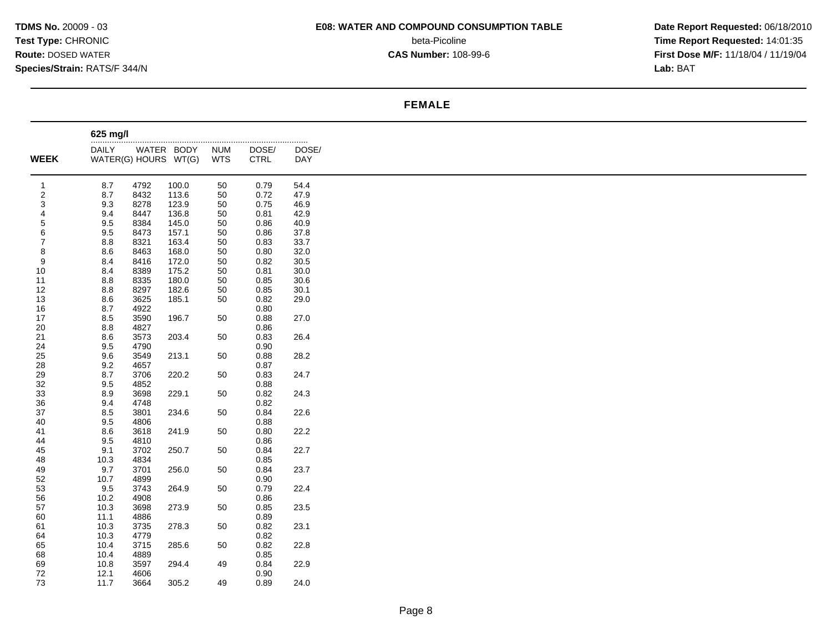# **FEMALE**

|                | 625 mg/l             |              |            |            |              |           |
|----------------|----------------------|--------------|------------|------------|--------------|-----------|
|                | <b>DAILY</b>         |              | WATER BODY | <b>NUM</b> | .<br>DOSE/   | <br>DOSE/ |
| <b>WEEK</b>    | WATER(G) HOURS WT(G) |              |            | <b>WTS</b> | <b>CTRL</b>  | DAY       |
|                |                      |              |            |            |              |           |
| $\overline{1}$ | 8.7                  | 4792         | 100.0      | 50         | 0.79         | 54.4      |
| 2              | 8.7                  | 8432         | 113.6      | 50         | 0.72         | 47.9      |
| 3              | 9.3                  | 8278         | 123.9      | 50         | 0.75         | 46.9      |
| 4              | 9.4                  | 8447         | 136.8      | 50         | 0.81         | 42.9      |
| 5              | 9.5                  | 8384         | 145.0      | 50         | 0.86         | 40.9      |
| 6              | $9.5\,$              | 8473         | 157.1      | 50         | 0.86         | 37.8      |
| $\overline{7}$ | $8.8\,$              | 8321         | 163.4      | 50         | 0.83         | 33.7      |
| 8              | 8.6                  | 8463         | 168.0      | 50         | 0.80         | 32.0      |
| 9              | 8.4                  | 8416         | 172.0      | 50         | 0.82         | 30.5      |
| 10             | 8.4                  | 8389         | 175.2      | 50         | 0.81         | 30.0      |
| 11             | 8.8                  | 8335         | 180.0      | 50         | 0.85         | 30.6      |
| 12             | $8.8\,$              | 8297         | 182.6      | 50         | 0.85         | 30.1      |
| 13             | 8.6                  | 3625         | 185.1      | 50         | 0.82         | 29.0      |
| 16             | 8.7                  | 4922         |            |            | 0.80         |           |
| 17             | 8.5                  | 3590         | 196.7      | 50         | 0.88         | 27.0      |
| 20             | $8.8\,$              | 4827         |            |            | 0.86         |           |
| 21             | 8.6                  | 3573         | 203.4      | 50         | 0.83         | 26.4      |
| 24             | $9.5\,$              | 4790         |            |            | 0.90         |           |
| 25             | 9.6                  | 3549         | 213.1      | 50         | 0.88         | 28.2      |
| 28             | 9.2                  | 4657         |            |            | 0.87         |           |
| 29             | 8.7                  | 3706         | 220.2      | 50         | 0.83         | 24.7      |
| 32             | 9.5                  | 4852         |            |            | 0.88         |           |
| 33             | 8.9                  | 3698         | 229.1      | 50         | 0.82         | 24.3      |
| 36             | 9.4                  | 4748         |            |            | 0.82         |           |
| 37             | 8.5<br>9.5           | 3801<br>4806 | 234.6      | 50         | 0.84<br>0.88 | 22.6      |
| 40             |                      | 3618         |            |            |              |           |
| 41<br>44       | 8.6<br>9.5           | 4810         | 241.9      | 50         | 0.80<br>0.86 | 22.2      |
| 45             | 9.1                  | 3702         | 250.7      | 50         | 0.84         | 22.7      |
| 48             | 10.3                 | 4834         |            |            | 0.85         |           |
| 49             | 9.7                  | 3701         | 256.0      | 50         | 0.84         | 23.7      |
| 52             | 10.7                 | 4899         |            |            | 0.90         |           |
| 53             | 9.5                  | 3743         | 264.9      | 50         | 0.79         | 22.4      |
| 56             | 10.2                 | 4908         |            |            | 0.86         |           |
| 57             | 10.3                 | 3698         | 273.9      | 50         | 0.85         | 23.5      |
| 60             | 11.1                 | 4886         |            |            | 0.89         |           |
| 61             | 10.3                 | 3735         | 278.3      | 50         | 0.82         | 23.1      |
| 64             | 10.3                 | 4779         |            |            | 0.82         |           |
| 65             | 10.4                 | 3715         | 285.6      | 50         | 0.82         | 22.8      |
| 68             | 10.4                 | 4889         |            |            | 0.85         |           |
| 69             | 10.8                 | 3597         | 294.4      | 49         | 0.84         | 22.9      |
| 72             | 12.1                 | 4606         |            |            | 0.90         |           |
| 73             | 11.7                 | 3664         | 305.2      | 49         | 0.89         | 24.0      |
|                |                      |              |            |            |              |           |